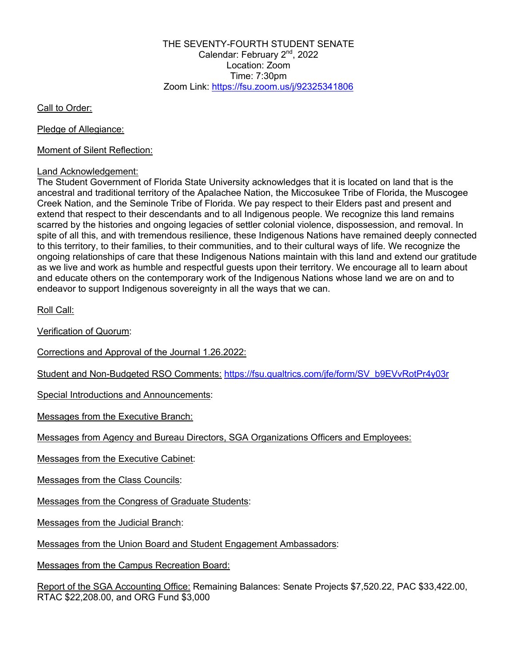THE SEVENTY-FOURTH STUDENT SENATE Calendar: February 2nd, 2022 Location: Zoom Time: 7:30pm Zoom Link: https://fsu.zoom.us/j/92325341806

Call to Order:

Pledge of Allegiance:

Moment of Silent Reflection:

#### Land Acknowledgement:

The Student Government of Florida State University acknowledges that it is located on land that is the ancestral and traditional territory of the Apalachee Nation, the Miccosukee Tribe of Florida, the Muscogee Creek Nation, and the Seminole Tribe of Florida. We pay respect to their Elders past and present and extend that respect to their descendants and to all Indigenous people. We recognize this land remains scarred by the histories and ongoing legacies of settler colonial violence, dispossession, and removal. In spite of all this, and with tremendous resilience, these Indigenous Nations have remained deeply connected to this territory, to their families, to their communities, and to their cultural ways of life. We recognize the ongoing relationships of care that these Indigenous Nations maintain with this land and extend our gratitude as we live and work as humble and respectful guests upon their territory. We encourage all to learn about and educate others on the contemporary work of the Indigenous Nations whose land we are on and to endeavor to support Indigenous sovereignty in all the ways that we can.

Roll Call:

Verification of Quorum:

Corrections and Approval of the Journal 1.26.2022:

Student and Non-Budgeted RSO Comments: https://fsu.qualtrics.com/jfe/form/SV\_b9EVvRotPr4y03r

Special Introductions and Announcements:

Messages from the Executive Branch:

Messages from Agency and Bureau Directors, SGA Organizations Officers and Employees:

Messages from the Executive Cabinet:

Messages from the Class Councils:

Messages from the Congress of Graduate Students:

Messages from the Judicial Branch:

Messages from the Union Board and Student Engagement Ambassadors:

Messages from the Campus Recreation Board:

Report of the SGA Accounting Office: Remaining Balances: Senate Projects \$7,520.22, PAC \$33,422.00, RTAC \$22,208.00, and ORG Fund \$3,000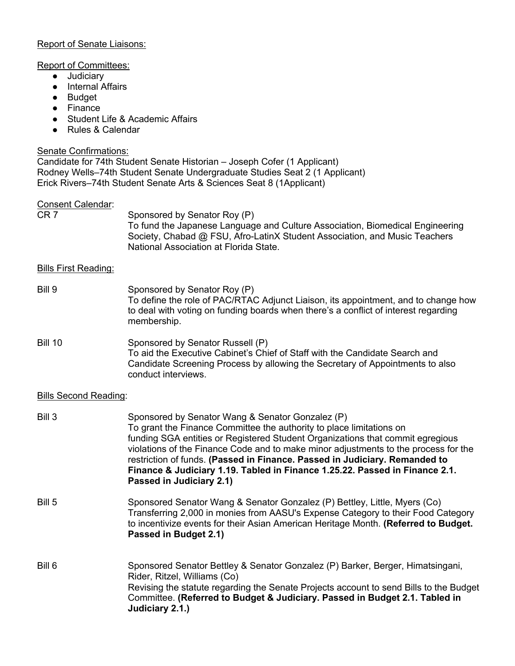### Report of Senate Liaisons:

#### Report of Committees:

- Judiciary
- Internal Affairs
- Budget
- Finance
- Student Life & Academic Affairs
- Rules & Calendar

## Senate Confirmations:

Candidate for 74th Student Senate Historian – Joseph Cofer (1 Applicant) Rodney Wells–74th Student Senate Undergraduate Studies Seat 2 (1 Applicant) Erick Rivers–74th Student Senate Arts & Sciences Seat 8 (1Applicant)

#### Consent Calendar:

| CR 7 | Sponsored by Senator Roy (P)                                                  |
|------|-------------------------------------------------------------------------------|
|      | To fund the Japanese Language and Culture Association, Biomedical Engineering |
|      | Society, Chabad @ FSU, Afro-LatinX Student Association, and Music Teachers    |
|      | National Association at Florida State.                                        |

## Bills First Reading:

Bill 9 Sponsored by Senator Roy (P) To define the role of PAC/RTAC Adjunct Liaison, its appointment, and to change how to deal with voting on funding boards when there's a conflict of interest regarding membership.

### Bill 10 Sponsored by Senator Russell (P) To aid the Executive Cabinet's Chief of Staff with the Candidate Search and Candidate Screening Process by allowing the Secretary of Appointments to also conduct interviews.

## Bills Second Reading:

| Bill 3 | Sponsored by Senator Wang & Senator Gonzalez (P)<br>To grant the Finance Committee the authority to place limitations on<br>funding SGA entities or Registered Student Organizations that commit egregious<br>violations of the Finance Code and to make minor adjustments to the process for the<br>restriction of funds. (Passed in Finance. Passed in Judiciary. Remanded to<br>Finance & Judiciary 1.19. Tabled in Finance 1.25.22. Passed in Finance 2.1.<br>Passed in Judiciary 2.1) |
|--------|--------------------------------------------------------------------------------------------------------------------------------------------------------------------------------------------------------------------------------------------------------------------------------------------------------------------------------------------------------------------------------------------------------------------------------------------------------------------------------------------|
| Bill 5 | Sponsored Senator Wang & Senator Gonzalez (P) Bettley, Little, Myers (Co)<br>Transferring 2,000 in monies from AASU's Expense Category to their Food Category<br>to incentivize events for their Asian American Heritage Month. (Referred to Budget.<br>Passed in Budget 2.1)                                                                                                                                                                                                              |
| Bill 6 | Sponsored Senator Bettley & Senator Gonzalez (P) Barker, Berger, Himatsingani,<br>Rider, Ritzel, Williams (Co)<br>Revising the statute regarding the Senate Projects account to send Bills to the Budget<br>Committee. (Referred to Budget & Judiciary. Passed in Budget 2.1. Tabled in<br>Judiciary 2.1.)                                                                                                                                                                                 |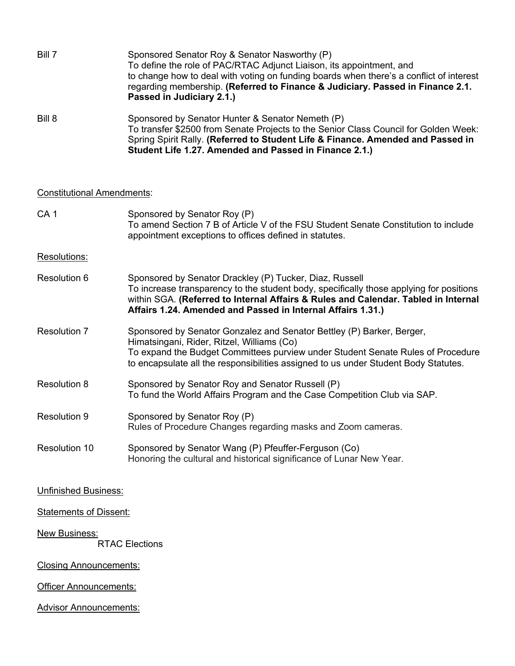| Bill 7 | Sponsored Senator Roy & Senator Nasworthy (P)<br>To define the role of PAC/RTAC Adjunct Liaison, its appointment, and<br>to change how to deal with voting on funding boards when there's a conflict of interest<br>regarding membership. (Referred to Finance & Judiciary. Passed in Finance 2.1.<br>Passed in Judiciary 2.1.) |
|--------|---------------------------------------------------------------------------------------------------------------------------------------------------------------------------------------------------------------------------------------------------------------------------------------------------------------------------------|
| Bill 8 | Sponsored by Senator Hunter & Senator Nemeth (P)<br>To transfer \$2500 from Senate Projects to the Senior Class Council for Golden Week:<br>Spring Spirit Rally. (Referred to Student Life & Finance. Amended and Passed in<br>Student Life 1.27. Amended and Passed in Finance 2.1.)                                           |

# Constitutional Amendments:

| CA <sub>1</sub>                        | Sponsored by Senator Roy (P)<br>To amend Section 7 B of Article V of the FSU Student Senate Constitution to include<br>appointment exceptions to offices defined in statutes.                                                                                                                           |  |
|----------------------------------------|---------------------------------------------------------------------------------------------------------------------------------------------------------------------------------------------------------------------------------------------------------------------------------------------------------|--|
| Resolutions:                           |                                                                                                                                                                                                                                                                                                         |  |
| Resolution 6                           | Sponsored by Senator Drackley (P) Tucker, Diaz, Russell<br>To increase transparency to the student body, specifically those applying for positions<br>within SGA. (Referred to Internal Affairs & Rules and Calendar. Tabled in Internal<br>Affairs 1.24. Amended and Passed in Internal Affairs 1.31.) |  |
| <b>Resolution 7</b>                    | Sponsored by Senator Gonzalez and Senator Bettley (P) Barker, Berger,<br>Himatsingani, Rider, Ritzel, Williams (Co)<br>To expand the Budget Committees purview under Student Senate Rules of Procedure<br>to encapsulate all the responsibilities assigned to us under Student Body Statutes.           |  |
| <b>Resolution 8</b>                    | Sponsored by Senator Roy and Senator Russell (P)<br>To fund the World Affairs Program and the Case Competition Club via SAP.                                                                                                                                                                            |  |
| <b>Resolution 9</b>                    | Sponsored by Senator Roy (P)<br>Rules of Procedure Changes regarding masks and Zoom cameras.                                                                                                                                                                                                            |  |
| Resolution 10                          | Sponsored by Senator Wang (P) Pfeuffer-Ferguson (Co)<br>Honoring the cultural and historical significance of Lunar New Year.                                                                                                                                                                            |  |
| <b>Unfinished Business:</b>            |                                                                                                                                                                                                                                                                                                         |  |
| <b>Statements of Dissent:</b>          |                                                                                                                                                                                                                                                                                                         |  |
| New Business:<br><b>RTAC Elections</b> |                                                                                                                                                                                                                                                                                                         |  |
| <b>Closing Announcements:</b>          |                                                                                                                                                                                                                                                                                                         |  |
| <b>Officer Announcements:</b>          |                                                                                                                                                                                                                                                                                                         |  |
| <b>Advisor Announcements:</b>          |                                                                                                                                                                                                                                                                                                         |  |